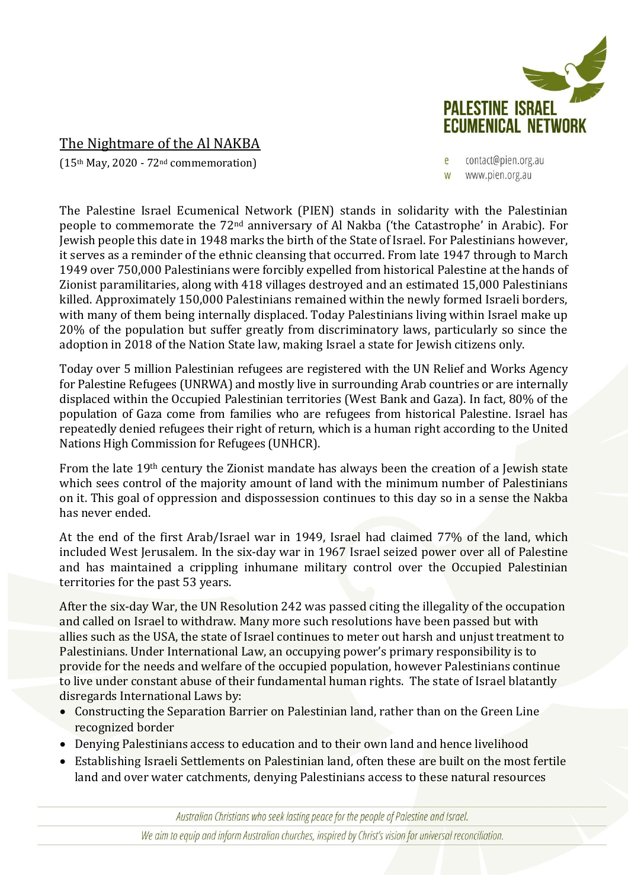

## The Nightmare of the Al NAKBA

(15th May, 2020 - 72nd commemoration)

contact@pien.org.au www.pien.org.au

The Palestine Israel Ecumenical Network (PIEN) stands in solidarity with the Palestinian people to commemorate the 72nd anniversary of Al Nakba ('the Catastrophe' in Arabic). For Jewish people this date in 1948 marks the birth of the State of Israel. For Palestinians however, it serves as a reminder of the ethnic cleansing that occurred. From late 1947 through to March 1949 over 750,000 Palestinians were forcibly expelled from historical Palestine at the hands of Zionist paramilitaries, along with 418 villages destroyed and an estimated 15,000 Palestinians killed. Approximately 150,000 Palestinians remained within the newly formed Israeli borders, with many of them being internally displaced. Today Palestinians living within Israel make up 20% of the population but suffer greatly from discriminatory laws, particularly so since the adoption in 2018 of the Nation State law, making Israel a state for Jewish citizens only.

Today over 5 million Palestinian refugees are registered with the UN Relief and Works Agency for Palestine Refugees (UNRWA) and mostly live in surrounding Arab countries or are internally displaced within the Occupied Palestinian territories (West Bank and Gaza). In fact, 80% of the population of Gaza come from families who are refugees from historical Palestine. Israel has repeatedly denied refugees their right of return, which is a human right according to the United Nations High Commission for Refugees (UNHCR).

From the late 19th century the Zionist mandate has always been the creation of a Jewish state which sees control of the majority amount of land with the minimum number of Palestinians on it. This goal of oppression and dispossession continues to this day so in a sense the Nakba has never ended.

At the end of the first Arab/Israel war in 1949, Israel had claimed 77% of the land, which included West Jerusalem. In the six-day war in 1967 Israel seized power over all of Palestine and has maintained a crippling inhumane military control over the Occupied Palestinian territories for the past 53 years.

After the six-day War, the UN Resolution 242 was passed citing the illegality of the occupation and called on Israel to withdraw. Many more such resolutions have been passed but with allies such as the USA, the state of Israel continues to meter out harsh and unjust treatment to Palestinians. Under International Law, an occupying power's primary responsibility is to provide for the needs and welfare of the occupied population, however Palestinians continue to live under constant abuse of their fundamental human rights. The state of Israel blatantly disregards International Laws by:

- Constructing the Separation Barrier on Palestinian land, rather than on the Green Line recognized border
- Denying Palestinians access to education and to their own land and hence livelihood
- Establishing Israeli Settlements on Palestinian land, often these are built on the most fertile land and over water catchments, denying Palestinians access to these natural resources